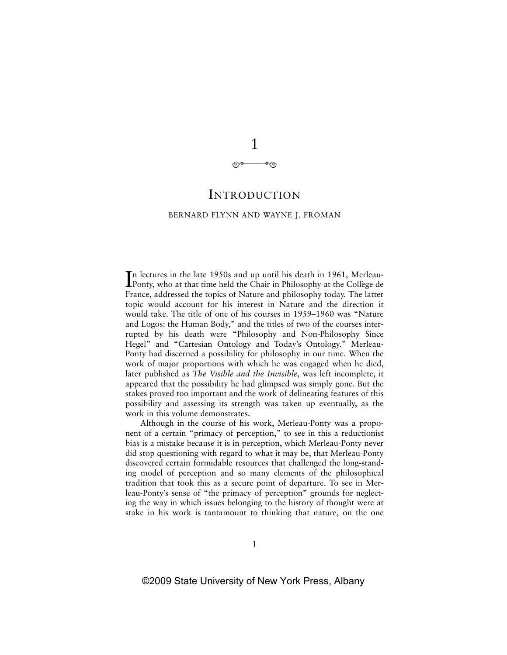

# INTRODUCTION

#### BERNARD FLYNN AND WAYNE J. FROMAN

In lectures in the late 1950s and up until his death in 1961, Merleau-<br>Ponty, who at that time held the Chair in Philosophy at the Collège de n lectures in the late 1950s and up until his death in 1961, Merleau-France, addressed the topics of Nature and philosophy today. The latter topic would account for his interest in Nature and the direction it would take. The title of one of his courses in 1959–1960 was "Nature and Logos: the Human Body," and the titles of two of the courses interrupted by his death were "Philosophy and Non-Philosophy Since Hegel" and "Cartesian Ontology and Today's Ontology." Merleau-Ponty had discerned a possibility for philosophy in our time. When the work of major proportions with which he was engaged when he died, later published as *The Visible and the Invisible*, was left incomplete, it appeared that the possibility he had glimpsed was simply gone. But the stakes proved too important and the work of delineating features of this possibility and assessing its strength was taken up eventually, as the work in this volume demonstrates.

Although in the course of his work, Merleau-Ponty was a proponent of a certain "primacy of perception," to see in this a reductionist bias is a mistake because it is in perception, which Merleau-Ponty never did stop questioning with regard to what it may be, that Merleau-Ponty discovered certain formidable resources that challenged the long-standing model of perception and so many elements of the philosophical tradition that took this as a secure point of departure. To see in Merleau-Ponty's sense of "the primacy of perception" grounds for neglecting the way in which issues belonging to the history of thought were at stake in his work is tantamount to thinking that nature, on the one

1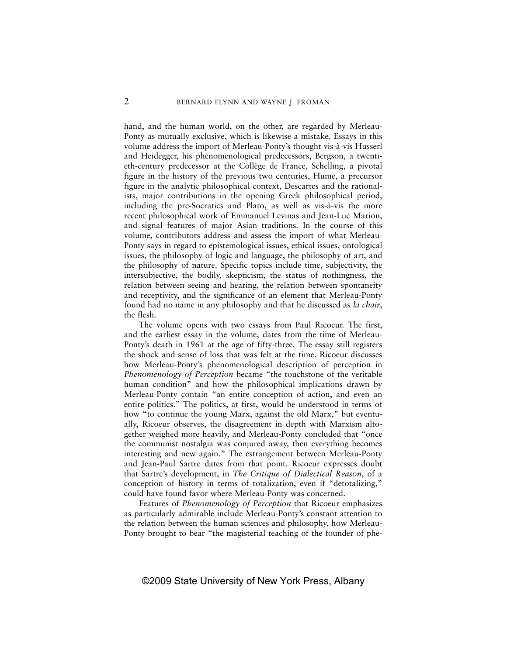hand, and the human world, on the other, are regarded by Merleau-Ponty as mutually exclusive, which is likewise a mistake. Essays in this volume address the import of Merleau-Ponty's thought vis-à-vis Husserl and Heidegger, his phenomenological predecessors, Bergson, a twentieth-century predecessor at the Collège de France, Schelling, a pivotal figure in the history of the previous two centuries, Hume, a precursor figure in the analytic philosophical context, Descartes and the rationalists, major contributions in the opening Greek philosophical period, including the pre-Socratics and Plato, as well as vis-à-vis the more recent philosophical work of Emmanuel Levinas and Jean-Luc Marion, and signal features of major Asian traditions. In the course of this volume, contributors address and assess the import of what Merleau-Ponty says in regard to epistemological issues, ethical issues, ontological issues, the philosophy of logic and language, the philosophy of art, and the philosophy of nature. Specific topics include time, subjectivity, the intersubjective, the bodily, skepticism, the status of nothingness, the relation between seeing and hearing, the relation between spontaneity and receptivity, and the significance of an element that Merleau-Ponty found had no name in any philosophy and that he discussed as *la chair*, the flesh*.*

The volume opens with two essays from Paul Ricoeur. The first, and the earliest essay in the volume, dates from the time of Merleau-Ponty's death in 1961 at the age of fifty-three. The essay still registers the shock and sense of loss that was felt at the time. Ricoeur discusses how Merleau-Ponty's phenomenological description of perception in *Phenomenology of Perception* became "the touchstone of the veritable human condition" and how the philosophical implications drawn by Merleau-Ponty contain "an entire conception of action, and even an entire politics." The politics, at first, would be understood in terms of how "to continue the young Marx, against the old Marx," but eventually, Ricoeur observes, the disagreement in depth with Marxism altogether weighed more heavily, and Merleau-Ponty concluded that "once the communist nostalgia was conjured away, then everything becomes interesting and new again." The estrangement between Merleau-Ponty and Jean-Paul Sartre dates from that point. Ricoeur expresses doubt that Sartre's development, in *The Critique of Dialectical Reason*, of a conception of history in terms of totalization, even if "detotalizing," could have found favor where Merleau-Ponty was concerned.

Features of *Phenomenology of Perception* that Ricoeur emphasizes as particularly admirable include Merleau-Ponty's constant attention to the relation between the human sciences and philosophy, how Merleau-Ponty brought to bear "the magisterial teaching of the founder of phe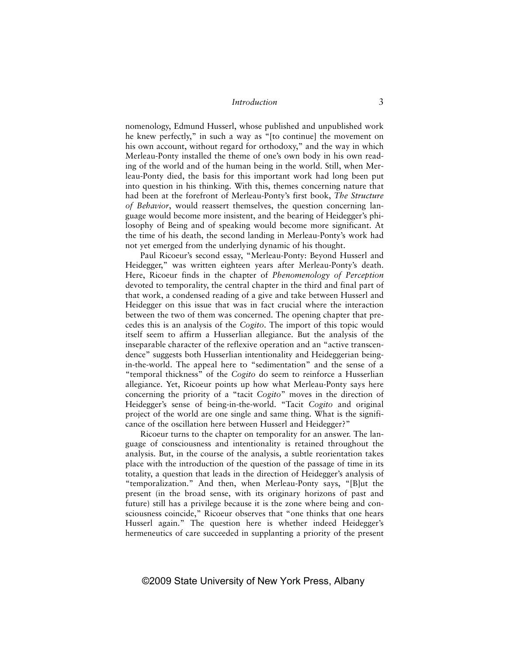nomenology, Edmund Husserl, whose published and unpublished work he knew perfectly," in such a way as "[to continue] the movement on his own account, without regard for orthodoxy," and the way in which Merleau-Ponty installed the theme of one's own body in his own reading of the world and of the human being in the world. Still, when Merleau-Ponty died, the basis for this important work had long been put into question in his thinking. With this, themes concerning nature that had been at the forefront of Merleau-Ponty's first book, *The Structure of Behavior*, would reassert themselves, the question concerning language would become more insistent, and the bearing of Heidegger's philosophy of Being and of speaking would become more significant. At the time of his death, the second landing in Merleau-Ponty's work had not yet emerged from the underlying dynamic of his thought.

Paul Ricoeur's second essay, "Merleau-Ponty: Beyond Husserl and Heidegger," was written eighteen years after Merleau-Ponty's death. Here, Ricoeur finds in the chapter of *Phenomenology of Perception* devoted to temporality, the central chapter in the third and final part of that work, a condensed reading of a give and take between Husserl and Heidegger on this issue that was in fact crucial where the interaction between the two of them was concerned. The opening chapter that precedes this is an analysis of the *Cogito*. The import of this topic would itself seem to affirm a Husserlian allegiance. But the analysis of the inseparable character of the reflexive operation and an "active transcendence" suggests both Husserlian intentionality and Heideggerian beingin-the-world. The appeal here to "sedimentation" and the sense of a "temporal thickness" of the *Cogito* do seem to reinforce a Husserlian allegiance. Yet, Ricoeur points up how what Merleau-Ponty says here concerning the priority of a "tacit *Cogito*" moves in the direction of Heidegger's sense of being-in-the-world. "Tacit *Cogito* and original project of the world are one single and same thing. What is the significance of the oscillation here between Husserl and Heidegger?"

Ricoeur turns to the chapter on temporality for an answer. The language of consciousness and intentionality is retained throughout the analysis. But, in the course of the analysis, a subtle reorientation takes place with the introduction of the question of the passage of time in its totality, a question that leads in the direction of Heidegger's analysis of "temporalization." And then, when Merleau-Ponty says, "[B]ut the present (in the broad sense, with its originary horizons of past and future) still has a privilege because it is the zone where being and consciousness coincide," Ricoeur observes that "one thinks that one hears Husserl again." The question here is whether indeed Heidegger's hermeneutics of care succeeded in supplanting a priority of the present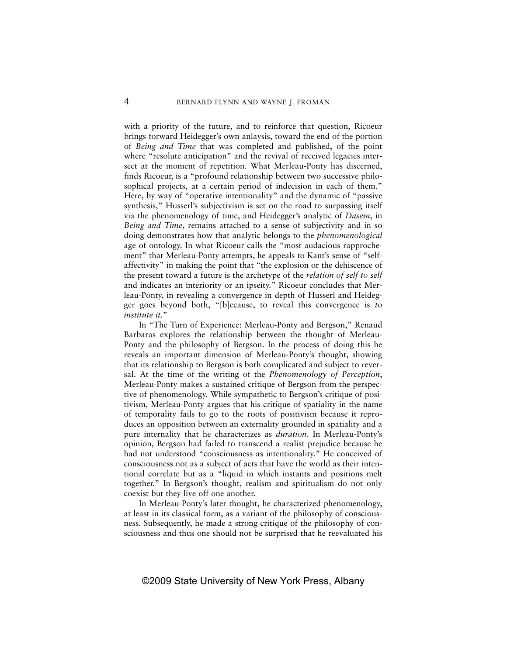with a priority of the future, and to reinforce that question, Ricoeur brings forward Heidegger's own anlaysis, toward the end of the portion of *Being and Time* that was completed and published, of the point where "resolute anticipation" and the revival of received legacies intersect at the moment of repetition. What Merleau-Ponty has discerned, finds Ricoeur, is a "profound relationship between two successive philosophical projects, at a certain period of indecision in each of them." Here, by way of "operative intentionality" and the dynamic of "passive synthesis," Husserl's subjectivism is set on the road to surpassing itself via the phenomenology of time, and Heidegger's analytic of *Dasein*, in *Being and Time*, remains attached to a sense of subjectivity and in so doing demonstrates how that analytic belongs to the *phenomenological* age of ontology. In what Ricoeur calls the "most audacious rapprochement" that Merleau-Ponty attempts, he appeals to Kant's sense of "selfaffectivity" in making the point that "the explosion or the dehiscence of the present toward a future is the archetype of the *relation of self to self* and indicates an interiority or an ipseity." Ricoeur concludes that Merleau-Ponty, in revealing a convergence in depth of Husserl and Heidegger goes beyond both, "[b]ecause, to reveal this convergence is *to institute it*."

In "The Turn of Experience: Merleau-Ponty and Bergson," Renaud Barbaras explores the relationship between the thought of Merleau-Ponty and the philosophy of Bergson. In the process of doing this he reveals an important dimension of Merleau-Ponty's thought, showing that its relationship to Bergson is both complicated and subject to reversal. At the time of the writing of the *Phenomenology of Perception*, Merleau-Ponty makes a sustained critique of Bergson from the perspective of phenomenology. While sympathetic to Bergson's critique of positivism, Merleau-Ponty argues that his critique of spatiality in the name of temporality fails to go to the roots of positivism because it reproduces an opposition between an externality grounded in spatiality and a pure internality that he characterizes as *duration*. In Merleau-Ponty's opinion, Bergson had failed to transcend a realist prejudice because he had not understood "consciousness as intentionality." He conceived of consciousness not as a subject of acts that have the world as their intentional correlate but as a "liquid in which instants and positions melt together." In Bergson's thought, realism and spiritualism do not only coexist but they live off one another.

In Merleau-Ponty's later thought, he characterized phenomenology, at least in its classical form, as a variant of the philosophy of consciousness. Subsequently, he made a strong critique of the philosophy of consciousness and thus one should not be surprised that he reevaluated his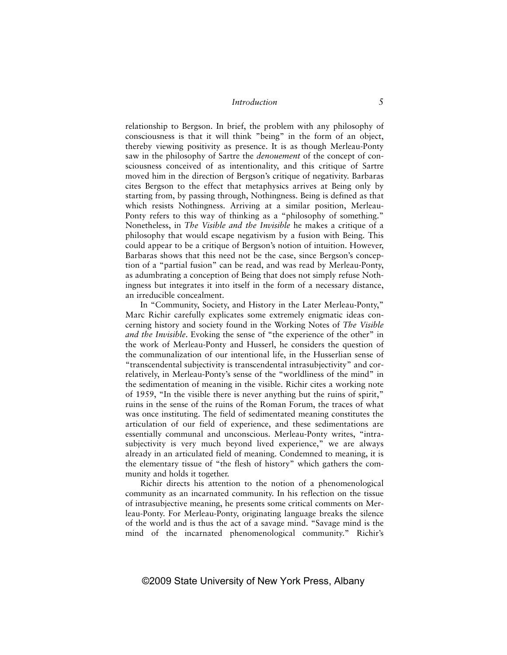relationship to Bergson. In brief, the problem with any philosophy of consciousness is that it will think "being" in the form of an object, thereby viewing positivity as presence. It is as though Merleau-Ponty saw in the philosophy of Sartre the *denouement* of the concept of consciousness conceived of as intentionality, and this critique of Sartre moved him in the direction of Bergson's critique of negativity. Barbaras cites Bergson to the effect that metaphysics arrives at Being only by starting from, by passing through, Nothingness. Being is defined as that which resists Nothingness. Arriving at a similar position, Merleau-Ponty refers to this way of thinking as a "philosophy of something." Nonetheless, in *The Visible and the Invisible* he makes a critique of a philosophy that would escape negativism by a fusion with Being. This could appear to be a critique of Bergson's notion of intuition. However, Barbaras shows that this need not be the case, since Bergson's conception of a "partial fusion" can be read, and was read by Merleau-Ponty, as adumbrating a conception of Being that does not simply refuse Nothingness but integrates it into itself in the form of a necessary distance, an irreducible concealment.

In "Community, Society, and History in the Later Merleau-Ponty," Marc Richir carefully explicates some extremely enigmatic ideas concerning history and society found in the Working Notes of *The Visible and the Invisible*. Evoking the sense of "the experience of the other" in the work of Merleau-Ponty and Husserl, he considers the question of the communalization of our intentional life, in the Husserlian sense of "transcendental subjectivity is transcendental intrasubjectivity" and correlatively, in Merleau-Ponty's sense of the "worldliness of the mind" in the sedimentation of meaning in the visible. Richir cites a working note of 1959, "In the visible there is never anything but the ruins of spirit," ruins in the sense of the ruins of the Roman Forum, the traces of what was once instituting. The field of sedimentated meaning constitutes the articulation of our field of experience, and these sedimentations are essentially communal and unconscious. Merleau-Ponty writes, "intrasubjectivity is very much beyond lived experience," we are always already in an articulated field of meaning. Condemned to meaning, it is the elementary tissue of "the flesh of history" which gathers the community and holds it together.

Richir directs his attention to the notion of a phenomenological community as an incarnated community. In his reflection on the tissue of intrasubjective meaning, he presents some critical comments on Merleau-Ponty. For Merleau-Ponty, originating language breaks the silence of the world and is thus the act of a savage mind. "Savage mind is the mind of the incarnated phenomenological community." Richir's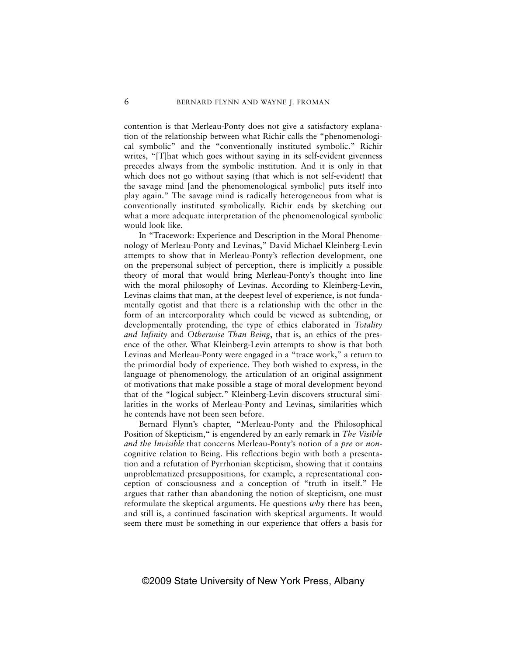contention is that Merleau-Ponty does not give a satisfactory explanation of the relationship between what Richir calls the "phenomenological symbolic" and the "conventionally instituted symbolic." Richir writes, "[T]hat which goes without saying in its self-evident givenness precedes always from the symbolic institution. And it is only in that which does not go without saying (that which is not self-evident) that the savage mind [and the phenomenological symbolic] puts itself into play again." The savage mind is radically heterogeneous from what is conventionally instituted symbolically. Richir ends by sketching out what a more adequate interpretation of the phenomenological symbolic would look like.

In "Tracework: Experience and Description in the Moral Phenomenology of Merleau-Ponty and Levinas," David Michael Kleinberg-Levin attempts to show that in Merleau-Ponty's reflection development, one on the prepersonal subject of perception, there is implicitly a possible theory of moral that would bring Merleau-Ponty's thought into line with the moral philosophy of Levinas. According to Kleinberg-Levin, Levinas claims that man, at the deepest level of experience, is not fundamentally egotist and that there is a relationship with the other in the form of an intercorporality which could be viewed as subtending, or developmentally protending, the type of ethics elaborated in *Totality and Infinity* and *Otherwise Than Being*, that is, an ethics of the presence of the other. What Kleinberg-Levin attempts to show is that both Levinas and Merleau-Ponty were engaged in a "trace work," a return to the primordial body of experience. They both wished to express, in the language of phenomenology, the articulation of an original assignment of motivations that make possible a stage of moral development beyond that of the "logical subject." Kleinberg-Levin discovers structural similarities in the works of Merleau-Ponty and Levinas, similarities which he contends have not been seen before.

Bernard Flynn's chapter, "Merleau-Ponty and the Philosophical Position of Skepticism," is engendered by an early remark in *The Visible and the Invisible* that concerns Merleau-Ponty's notion of a *pre* or *non*cognitive relation to Being. His reflections begin with both a presentation and a refutation of Pyrrhonian skepticism, showing that it contains unproblematized presuppositions, for example, a representational conception of consciousness and a conception of "truth in itself." He argues that rather than abandoning the notion of skepticism, one must reformulate the skeptical arguments. He questions *why* there has been, and still is, a continued fascination with skeptical arguments. It would seem there must be something in our experience that offers a basis for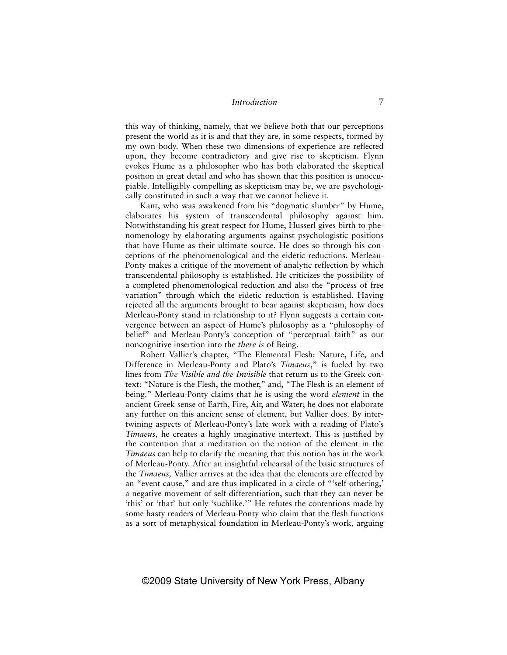## *Introduction* 7

this way of thinking, namely, that we believe both that our perceptions present the world as it is and that they are, in some respects, formed by my own body. When these two dimensions of experience are reflected upon, they become contradictory and give rise to skepticism. Flynn evokes Hume as a philosopher who has both elaborated the skeptical position in great detail and who has shown that this position is unoccupiable. Intelligibly compelling as skepticism may be, we are psychologically constituted in such a way that we cannot believe it.

Kant, who was awakened from his "dogmatic slumber" by Hume, elaborates his system of transcendental philosophy against him. Notwithstanding his great respect for Hume, Husserl gives birth to phenomenology by elaborating arguments against psychologistic positions that have Hume as their ultimate source. He does so through his conceptions of the phenomenological and the eidetic reductions. Merleau-Ponty makes a critique of the movement of analytic reflection by which transcendental philosophy is established. He criticizes the possibility of a completed phenomenological reduction and also the "process of free variation" through which the eidetic reduction is established. Having rejected all the arguments brought to bear against skepticism, how does Merleau-Ponty stand in relationship to it? Flynn suggests a certain convergence between an aspect of Hume's philosophy as a "philosophy of belief" and Merleau-Ponty's conception of "perceptual faith" as our noncognitive insertion into the *there is* of Being.

Robert Vallier's chapter, "The Elemental Flesh: Nature, Life, and Difference in Merleau-Ponty and Plato's *Timaeus*," is fueled by two lines from *The Visible and the Invisible* that return us to the Greek context: "Nature is the Flesh, the mother," and, "The Flesh is an element of being." Merleau-Ponty claims that he is using the word *element* in the ancient Greek sense of Earth, Fire, Air, and Water; he does not elaborate any further on this ancient sense of element, but Vallier does. By intertwining aspects of Merleau-Ponty's late work with a reading of Plato's *Timaeus*, he creates a highly imaginative intertext. This is justified by the contention that a meditation on the notion of the element in the *Timaeus* can help to clarify the meaning that this notion has in the work of Merleau-Ponty. After an insightful rehearsal of the basic structures of the *Timaeus,* Vallier arrives at the idea that the elements are effected by an "event cause," and are thus implicated in a circle of "'self-othering,' a negative movement of self-differentiation, such that they can never be 'this' or 'that' but only 'suchlike.'" He refutes the contentions made by some hasty readers of Merleau-Ponty who claim that the flesh functions as a sort of metaphysical foundation in Merleau-Ponty's work, arguing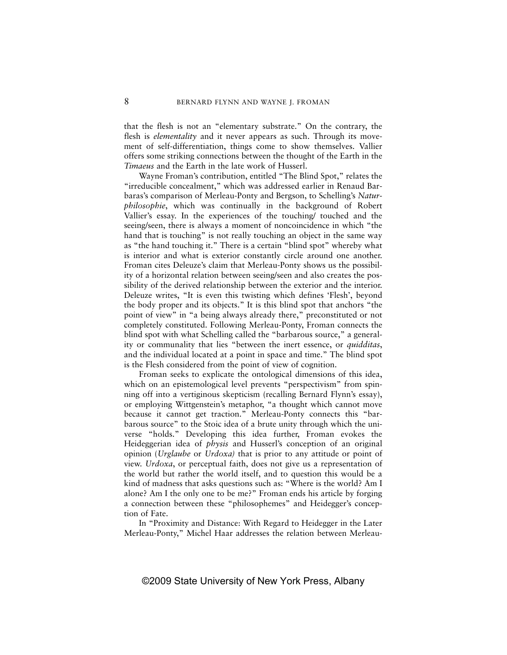that the flesh is not an "elementary substrate." On the contrary, the flesh is *elementality* and it never appears as such. Through its movement of self-differentiation, things come to show themselves. Vallier offers some striking connections between the thought of the Earth in the *Timaeus* and the Earth in the late work of Husserl.

Wayne Froman's contribution, entitled "The Blind Spot," relates the "irreducible concealment," which was addressed earlier in Renaud Barbaras's comparison of Merleau-Ponty and Bergson, to Schelling's *Naturphilosophie*, which was continually in the background of Robert Vallier's essay. In the experiences of the touching/ touched and the seeing/seen, there is always a moment of noncoincidence in which "the hand that is touching" is not really touching an object in the same way as "the hand touching it." There is a certain "blind spot" whereby what is interior and what is exterior constantly circle around one another. Froman cites Deleuze's claim that Merleau-Ponty shows us the possibility of a horizontal relation between seeing/seen and also creates the possibility of the derived relationship between the exterior and the interior. Deleuze writes, "It is even this twisting which defines 'Flesh', beyond the body proper and its objects." It is this blind spot that anchors "the point of view" in "a being always already there," preconstituted or not completely constituted. Following Merleau-Ponty, Froman connects the blind spot with what Schelling called the "barbarous source," a generality or communality that lies "between the inert essence, or *quidditas*, and the individual located at a point in space and time." The blind spot is the Flesh considered from the point of view of cognition.

Froman seeks to explicate the ontological dimensions of this idea, which on an epistemological level prevents "perspectivism" from spinning off into a vertiginous skepticism (recalling Bernard Flynn's essay), or employing Wittgenstein's metaphor, "a thought which cannot move because it cannot get traction." Merleau-Ponty connects this "barbarous source" to the Stoic idea of a brute unity through which the universe "holds." Developing this idea further, Froman evokes the Heideggerian idea of *physis* and Husserl's conception of an original opinion (*Urglaube* or *Urdoxa)* that is prior to any attitude or point of view. *Urdoxa*, or perceptual faith, does not give us a representation of the world but rather the world itself, and to question this would be a kind of madness that asks questions such as: "Where is the world? Am I alone? Am I the only one to be me?" Froman ends his article by forging a connection between these "philosophemes" and Heidegger's conception of Fate.

In "Proximity and Distance: With Regard to Heidegger in the Later Merleau-Ponty," Michel Haar addresses the relation between Merleau-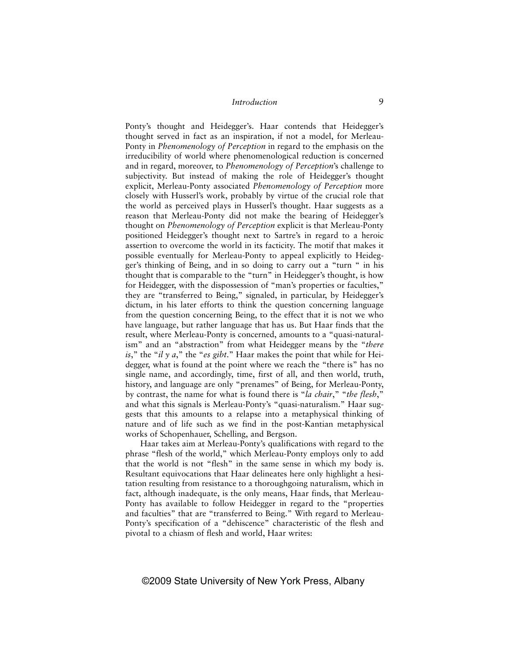## *Introduction* 9

Ponty's thought and Heidegger's. Haar contends that Heidegger's thought served in fact as an inspiration, if not a model, for Merleau-Ponty in *Phenomenology of Perception* in regard to the emphasis on the irreducibility of world where phenomenological reduction is concerned and in regard, moreover, to *Phenomenology of Perception*'s challenge to subjectivity. But instead of making the role of Heidegger's thought explicit, Merleau-Ponty associated *Phenomenology of Perception* more closely with Husserl's work, probably by virtue of the crucial role that the world as perceived plays in Husserl's thought. Haar suggests as a reason that Merleau-Ponty did not make the bearing of Heidegger's thought on *Phenomenology of Perception* explicit is that Merleau-Ponty positioned Heidegger's thought next to Sartre's in regard to a heroic assertion to overcome the world in its facticity. The motif that makes it possible eventually for Merleau-Ponty to appeal explicitly to Heidegger's thinking of Being, and in so doing to carry out a "turn " in his thought that is comparable to the "turn" in Heidegger's thought, is how for Heidegger, with the dispossession of "man's properties or faculties," they are "transferred to Being," signaled, in particular, by Heidegger's dictum, in his later efforts to think the question concerning language from the question concerning Being, to the effect that it is not we who have language, but rather language that has us. But Haar finds that the result, where Merleau-Ponty is concerned, amounts to a "quasi-naturalism" and an "abstraction" from what Heidegger means by the "*there is*," the "*il y a*," the "*es gibt*." Haar makes the point that while for Heidegger, what is found at the point where we reach the "there is" has no single name, and accordingly, time, first of all, and then world, truth, history, and language are only "prenames" of Being, for Merleau-Ponty, by contrast, the name for what is found there is "*la chair*," "*the flesh*," and what this signals is Merleau-Ponty's "quasi-naturalism." Haar suggests that this amounts to a relapse into a metaphysical thinking of nature and of life such as we find in the post-Kantian metaphysical works of Schopenhauer, Schelling, and Bergson.

Haar takes aim at Merleau-Ponty's qualifications with regard to the phrase "flesh of the world," which Merleau-Ponty employs only to add that the world is not "flesh" in the same sense in which my body is. Resultant equivocations that Haar delineates here only highlight a hesitation resulting from resistance to a thoroughgoing naturalism, which in fact, although inadequate, is the only means, Haar finds, that Merleau-Ponty has available to follow Heidegger in regard to the "properties and faculties" that are "transferred to Being." With regard to Merleau-Ponty's specification of a "dehiscence" characteristic of the flesh and pivotal to a chiasm of flesh and world, Haar writes: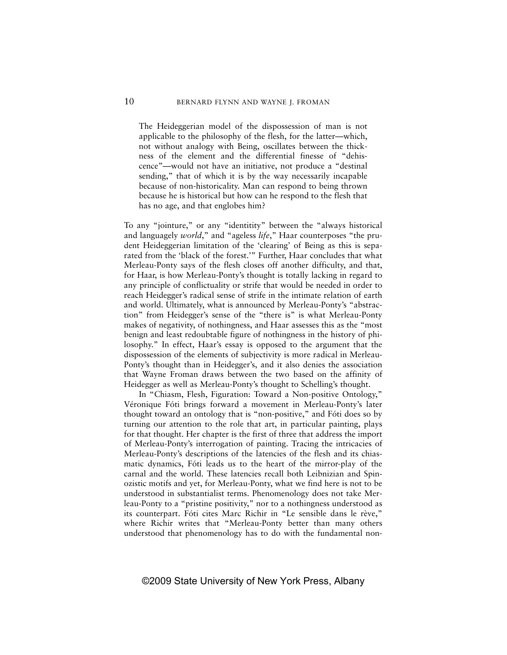The Heideggerian model of the dispossession of man is not applicable to the philosophy of the flesh, for the latter—which, not without analogy with Being, oscillates between the thickness of the element and the differential finesse of "dehiscence"—would not have an initiative, not produce a "destinal sending," that of which it is by the way necessarily incapable because of non-historicality. Man can respond to being thrown because he is historical but how can he respond to the flesh that has no age, and that englobes him?

To any "jointure," or any "identitity" between the "always historical and languagely *world*," and "ageless *life*," Haar counterposes "the prudent Heideggerian limitation of the 'clearing' of Being as this is separated from the 'black of the forest.'" Further, Haar concludes that what Merleau-Ponty says of the flesh closes off another difficulty, and that, for Haar, is how Merleau-Ponty's thought is totally lacking in regard to any principle of conflictuality or strife that would be needed in order to reach Heidegger's radical sense of strife in the intimate relation of earth and world. Ultimately, what is announced by Merleau-Ponty's "abstraction" from Heidegger's sense of the "there is" is what Merleau-Ponty makes of negativity, of nothingness, and Haar assesses this as the "most benign and least redoubtable figure of nothingness in the history of philosophy." In effect, Haar's essay is opposed to the argument that the dispossession of the elements of subjectivity is more radical in Merleau-Ponty's thought than in Heidegger's, and it also denies the association that Wayne Froman draws between the two based on the affinity of Heidegger as well as Merleau-Ponty's thought to Schelling's thought.

In "Chiasm, Flesh, Figuration: Toward a Non-positive Ontology," Véronique Fóti brings forward a movement in Merleau-Ponty's later thought toward an ontology that is "non-positive," and Fóti does so by turning our attention to the role that art, in particular painting, plays for that thought. Her chapter is the first of three that address the import of Merleau-Ponty's interrogation of painting. Tracing the intricacies of Merleau-Ponty's descriptions of the latencies of the flesh and its chiasmatic dynamics, Fóti leads us to the heart of the mirror-play of the carnal and the world. These latencies recall both Leibnizian and Spinozistic motifs and yet, for Merleau-Ponty, what we find here is not to be understood in substantialist terms. Phenomenology does not take Merleau-Ponty to a "pristine positivity," nor to a nothingness understood as its counterpart. Fóti cites Marc Richir in "Le sensible dans le rève," where Richir writes that "Merleau-Ponty better than many others understood that phenomenology has to do with the fundamental non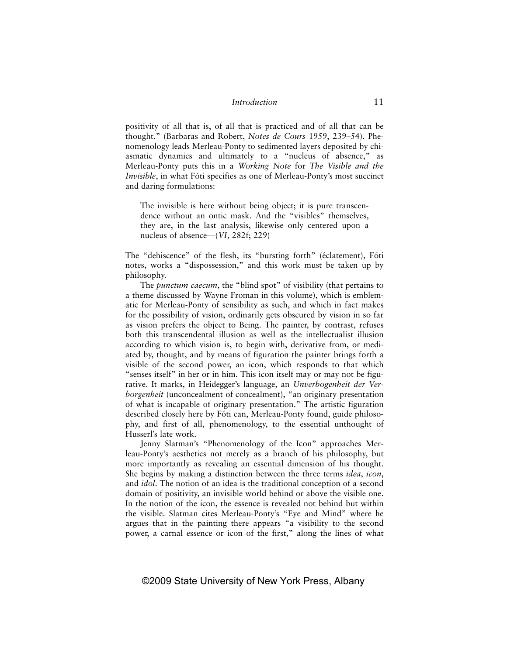positivity of all that is, of all that is practiced and of all that can be thought." (Barbaras and Robert, *Notes de Cours* 1959, 239–54). Phenomenology leads Merleau-Ponty to sedimented layers deposited by chiasmatic dynamics and ultimately to a "nucleus of absence," as Merleau-Ponty puts this in a *Working Note* for *The Visible and the Invisible*, in what Fóti specifies as one of Merleau-Ponty's most succinct and daring formulations:

The invisible is here without being object; it is pure transcendence without an ontic mask. And the "visibles" themselves, they are, in the last analysis, likewise only centered upon a nucleus of absence—(*VI*, 282f; 229)

The "dehiscence" of the flesh, its "bursting forth" (éclatement), Fóti notes, works a "dispossession," and this work must be taken up by philosophy.

The *punctum caecum*, the "blind spot" of visibility (that pertains to a theme discussed by Wayne Froman in this volume), which is emblematic for Merleau-Ponty of sensibility as such, and which in fact makes for the possibility of vision, ordinarily gets obscured by vision in so far as vision prefers the object to Being. The painter, by contrast, refuses both this transcendental illusion as well as the intellectualist illusion according to which vision is, to begin with, derivative from, or mediated by, thought, and by means of figuration the painter brings forth a visible of the second power, an icon, which responds to that which "senses itself" in her or in him. This icon itself may or may not be figurative. It marks, in Heidegger's language, an *Unverbogenheit der Verborgenheit* (unconcealment of concealment), "an originary presentation of what is incapable of originary presentation." The artistic figuration described closely here by Fóti can, Merleau-Ponty found, guide philosophy, and first of all, phenomenology, to the essential unthought of Husserl's late work.

Jenny Slatman's "Phenomenology of the Icon" approaches Merleau-Ponty's aesthetics not merely as a branch of his philosophy, but more importantly as revealing an essential dimension of his thought. She begins by making a distinction between the three terms *idea*, *icon*, and *idol*. The notion of an idea is the traditional conception of a second domain of positivity, an invisible world behind or above the visible one. In the notion of the icon, the essence is revealed not behind but within the visible. Slatman cites Merleau-Ponty's "Eye and Mind" where he argues that in the painting there appears "a visibility to the second power, a carnal essence or icon of the first," along the lines of what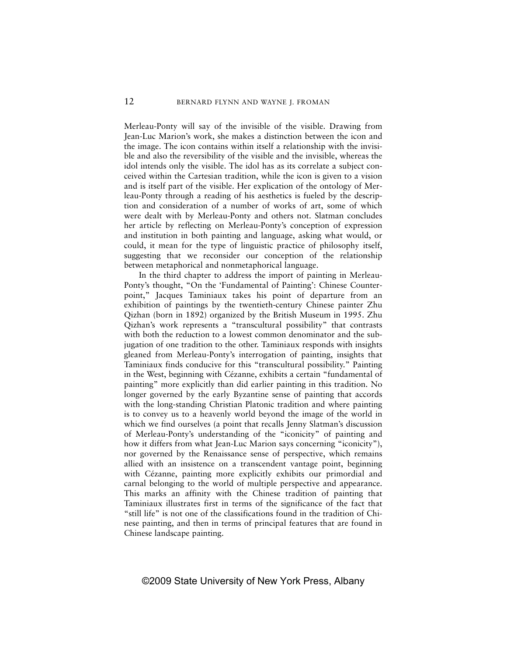Merleau-Ponty will say of the invisible of the visible. Drawing from Jean-Luc Marion's work, she makes a distinction between the icon and the image. The icon contains within itself a relationship with the invisible and also the reversibility of the visible and the invisible, whereas the idol intends only the visible. The idol has as its correlate a subject conceived within the Cartesian tradition, while the icon is given to a vision and is itself part of the visible. Her explication of the ontology of Merleau-Ponty through a reading of his aesthetics is fueled by the description and consideration of a number of works of art, some of which were dealt with by Merleau-Ponty and others not. Slatman concludes her article by reflecting on Merleau-Ponty's conception of expression and institution in both painting and language, asking what would, or could, it mean for the type of linguistic practice of philosophy itself, suggesting that we reconsider our conception of the relationship between metaphorical and nonmetaphorical language.

In the third chapter to address the import of painting in Merleau-Ponty's thought, "On the 'Fundamental of Painting': Chinese Counterpoint," Jacques Taminiaux takes his point of departure from an exhibition of paintings by the twentieth-century Chinese painter Zhu Qizhan (born in 1892) organized by the British Museum in 1995. Zhu Qizhan's work represents a "transcultural possibility" that contrasts with both the reduction to a lowest common denominator and the subjugation of one tradition to the other. Taminiaux responds with insights gleaned from Merleau-Ponty's interrogation of painting, insights that Taminiaux finds conducive for this "transcultural possibility." Painting in the West, beginning with Cézanne, exhibits a certain "fundamental of painting" more explicitly than did earlier painting in this tradition. No longer governed by the early Byzantine sense of painting that accords with the long-standing Christian Platonic tradition and where painting is to convey us to a heavenly world beyond the image of the world in which we find ourselves (a point that recalls Jenny Slatman's discussion of Merleau-Ponty's understanding of the "iconicity" of painting and how it differs from what Jean-Luc Marion says concerning "iconicity"), nor governed by the Renaissance sense of perspective, which remains allied with an insistence on a transcendent vantage point, beginning with Cézanne, painting more explicitly exhibits our primordial and carnal belonging to the world of multiple perspective and appearance. This marks an affinity with the Chinese tradition of painting that Taminiaux illustrates first in terms of the significance of the fact that "still life" is not one of the classifications found in the tradition of Chinese painting, and then in terms of principal features that are found in Chinese landscape painting.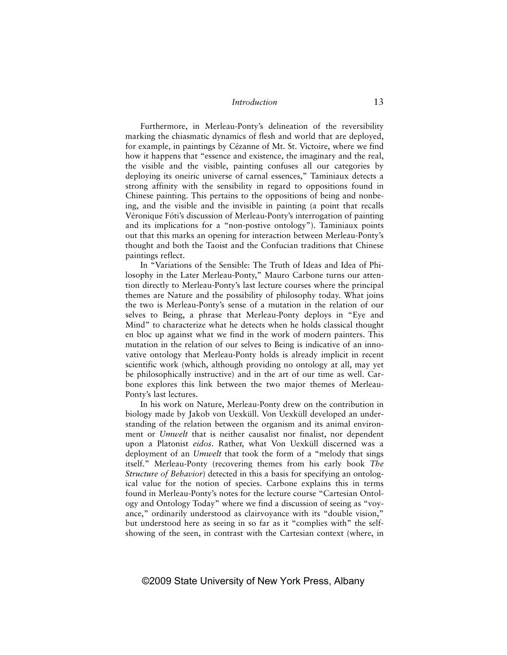Furthermore, in Merleau-Ponty's delineation of the reversibility marking the chiasmatic dynamics of flesh and world that are deployed, for example, in paintings by Cézanne of Mt. St. Victoire, where we find how it happens that "essence and existence, the imaginary and the real, the visible and the visible, painting confuses all our categories by deploying its oneiric universe of carnal essences," Taminiaux detects a strong affinity with the sensibility in regard to oppositions found in Chinese painting. This pertains to the oppositions of being and nonbeing, and the visible and the invisible in painting (a point that recalls Véronique Fóti's discussion of Merleau-Ponty's interrogation of painting and its implications for a "non-postive ontology"). Taminiaux points out that this marks an opening for interaction between Merleau-Ponty's thought and both the Taoist and the Confucian traditions that Chinese paintings reflect.

In "Variations of the Sensible: The Truth of Ideas and Idea of Philosophy in the Later Merleau-Ponty," Mauro Carbone turns our attention directly to Merleau-Ponty's last lecture courses where the principal themes are Nature and the possibility of philosophy today. What joins the two is Merleau-Ponty's sense of a mutation in the relation of our selves to Being, a phrase that Merleau-Ponty deploys in "Eye and Mind" to characterize what he detects when he holds classical thought en bloc up against what we find in the work of modern painters. This mutation in the relation of our selves to Being is indicative of an innovative ontology that Merleau-Ponty holds is already implicit in recent scientific work (which, although providing no ontology at all, may yet be philosophically instructive) and in the art of our time as well. Carbone explores this link between the two major themes of Merleau-Ponty's last lectures.

In his work on Nature, Merleau-Ponty drew on the contribution in biology made by Jakob von Uexküll. Von Uexküll developed an understanding of the relation between the organism and its animal environment or *Umwelt* that is neither causalist nor finalist, nor dependent upon a Platonist *eidos*. Rather, what Von Uexküll discerned was a deployment of an *Umwelt* that took the form of a "melody that sings itself." Merleau-Ponty (recovering themes from his early book *The Structure of Behavior*) detected in this a basis for specifying an ontological value for the notion of species. Carbone explains this in terms found in Merleau-Ponty's notes for the lecture course "Cartesian Ontology and Ontology Today" where we find a discussion of seeing as "voyance," ordinarily understood as clairvoyance with its "double vision," but understood here as seeing in so far as it "complies with" the selfshowing of the seen, in contrast with the Cartesian context (where, in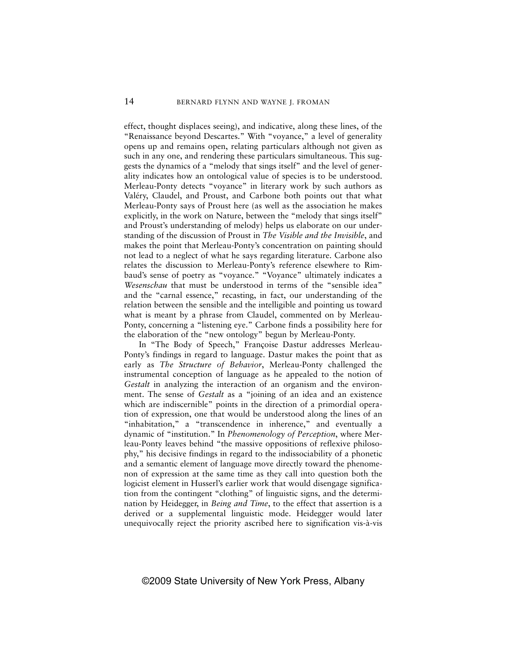effect, thought displaces seeing), and indicative, along these lines, of the "Renaissance beyond Descartes." With "voyance," a level of generality opens up and remains open, relating particulars although not given as such in any one, and rendering these particulars simultaneous. This suggests the dynamics of a "melody that sings itself" and the level of generality indicates how an ontological value of species is to be understood. Merleau-Ponty detects "voyance" in literary work by such authors as Valéry, Claudel, and Proust, and Carbone both points out that what Merleau-Ponty says of Proust here (as well as the association he makes explicitly, in the work on Nature, between the "melody that sings itself" and Proust's understanding of melody) helps us elaborate on our understanding of the discussion of Proust in *The Visible and the Invisible*, and makes the point that Merleau-Ponty's concentration on painting should not lead to a neglect of what he says regarding literature. Carbone also relates the discussion to Merleau-Ponty's reference elsewhere to Rimbaud's sense of poetry as "voyance." "Voyance" ultimately indicates a *Wesenschau* that must be understood in terms of the "sensible idea" and the "carnal essence," recasting, in fact, our understanding of the relation between the sensible and the intelligible and pointing us toward what is meant by a phrase from Claudel, commented on by Merleau-Ponty, concerning a "listening eye." Carbone finds a possibility here for the elaboration of the "new ontology" begun by Merleau-Ponty.

In "The Body of Speech," Françoise Dastur addresses Merleau-Ponty's findings in regard to language. Dastur makes the point that as early as *The Structure of Behavior*, Merleau-Ponty challenged the instrumental conception of language as he appealed to the notion of *Gestalt* in analyzing the interaction of an organism and the environment. The sense of *Gestalt* as a "joining of an idea and an existence which are indiscernible" points in the direction of a primordial operation of expression, one that would be understood along the lines of an "inhabitation," a "transcendence in inherence," and eventually a dynamic of "institution." In *Phenomenology of Perception*, where Merleau-Ponty leaves behind "the massive oppositions of reflexive philosophy," his decisive findings in regard to the indissociability of a phonetic and a semantic element of language move directly toward the phenomenon of expression at the same time as they call into question both the logicist element in Husserl's earlier work that would disengage signification from the contingent "clothing" of linguistic signs, and the determination by Heidegger, in *Being and Time*, to the effect that assertion is a derived or a supplemental linguistic mode. Heidegger would later unequivocally reject the priority ascribed here to signification vis-à-vis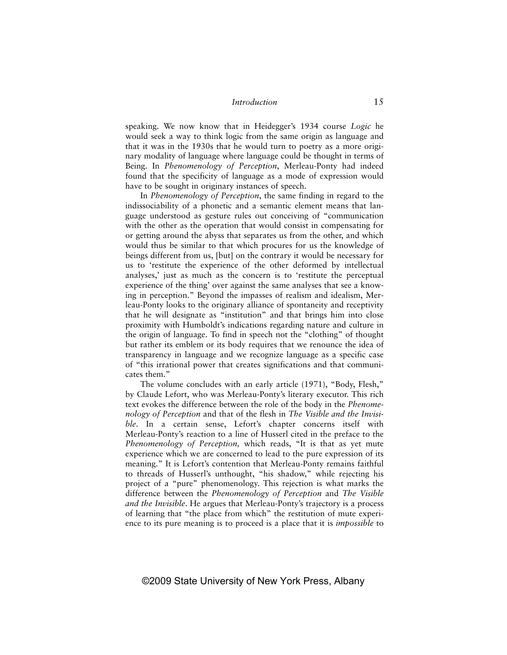#### *Introduction* 15

speaking. We now know that in Heidegger's 1934 course *Logic* he would seek a way to think logic from the same origin as language and that it was in the 1930s that he would turn to poetry as a more originary modality of language where language could be thought in terms of Being. In *Phenomenology of Perception*, Merleau-Ponty had indeed found that the specificity of language as a mode of expression would have to be sought in originary instances of speech.

In *Phenomenology of Perception*, the same finding in regard to the indissociability of a phonetic and a semantic element means that language understood as gesture rules out conceiving of "communication with the other as the operation that would consist in compensating for or getting around the abyss that separates us from the other, and which would thus be similar to that which procures for us the knowledge of beings different from us, [but] on the contrary it would be necessary for us to 'restitute the experience of the other deformed by intellectual analyses,' just as much as the concern is to 'restitute the perceptual experience of the thing' over against the same analyses that see a knowing in perception." Beyond the impasses of realism and idealism, Merleau-Ponty looks to the originary alliance of spontaneity and receptivity that he will designate as "institution" and that brings him into close proximity with Humboldt's indications regarding nature and culture in the origin of language. To find in speech not the "clothing" of thought but rather its emblem or its body requires that we renounce the idea of transparency in language and we recognize language as a specific case of "this irrational power that creates significations and that communicates them."

The volume concludes with an early article (1971), "Body, Flesh," by Claude Lefort, who was Merleau-Ponty's literary executor. This rich text evokes the difference between the role of the body in the *Phenomenology of Perception* and that of the flesh in *The Visible and the Invisible*. In a certain sense, Lefort's chapter concerns itself with Merleau-Ponty's reaction to a line of Husserl cited in the preface to the *Phenomenology of Perception,* which reads, "It is that as yet mute experience which we are concerned to lead to the pure expression of its meaning." It is Lefort's contention that Merleau-Ponty remains faithful to threads of Husserl's unthought, "his shadow," while rejecting his project of a "pure" phenomenology. This rejection is what marks the difference between the *Phenomenology of Perception* and *The Visible and the Invisible*. He argues that Merleau-Ponty's trajectory is a process of learning that "the place from which" the restitution of mute experience to its pure meaning is to proceed is a place that it is *impossible* to